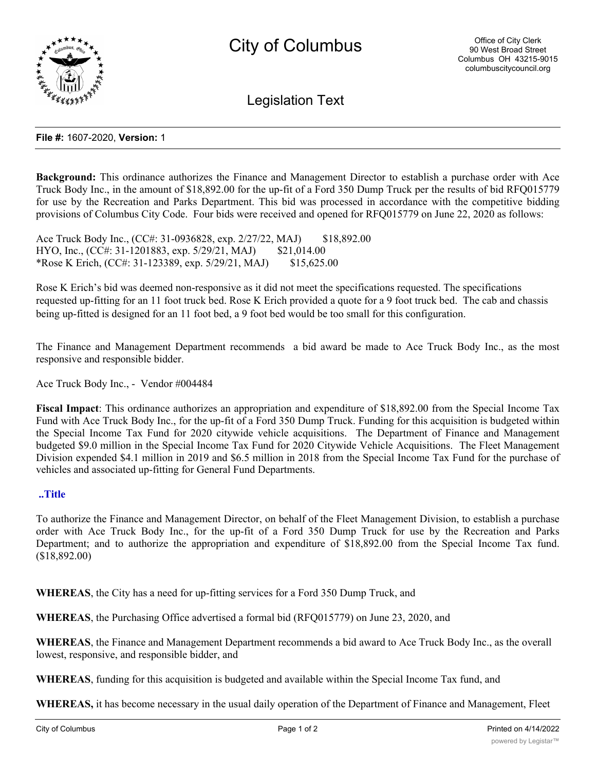

Legislation Text

### **File #:** 1607-2020, **Version:** 1

**Background:** This ordinance authorizes the Finance and Management Director to establish a purchase order with Ace Truck Body Inc., in the amount of \$18,892.00 for the up-fit of a Ford 350 Dump Truck per the results of bid RFQ015779 for use by the Recreation and Parks Department. This bid was processed in accordance with the competitive bidding provisions of Columbus City Code. Four bids were received and opened for RFQ015779 on June 22, 2020 as follows:

Ace Truck Body Inc., (CC#: 31-0936828, exp. 2/27/22, MAJ) \$18,892.00 HYO, Inc., (CC#: 31-1201883, exp. 5/29/21, MAJ) \$21,014.00 \*Rose K Erich, (CC#: 31-123389, exp. 5/29/21, MAJ) \$15,625.00

Rose K Erich's bid was deemed non-responsive as it did not meet the specifications requested. The specifications requested up-fitting for an 11 foot truck bed. Rose K Erich provided a quote for a 9 foot truck bed. The cab and chassis being up-fitted is designed for an 11 foot bed, a 9 foot bed would be too small for this configuration.

The Finance and Management Department recommends a bid award be made to Ace Truck Body Inc., as the most responsive and responsible bidder.

Ace Truck Body Inc., - Vendor #004484

**Fiscal Impact**: This ordinance authorizes an appropriation and expenditure of \$18,892.00 from the Special Income Tax Fund with Ace Truck Body Inc., for the up-fit of a Ford 350 Dump Truck. Funding for this acquisition is budgeted within the Special Income Tax Fund for 2020 citywide vehicle acquisitions. The Department of Finance and Management budgeted \$9.0 million in the Special Income Tax Fund for 2020 Citywide Vehicle Acquisitions. The Fleet Management Division expended \$4.1 million in 2019 and \$6.5 million in 2018 from the Special Income Tax Fund for the purchase of vehicles and associated up-fitting for General Fund Departments.

#### **..Title**

To authorize the Finance and Management Director, on behalf of the Fleet Management Division, to establish a purchase order with Ace Truck Body Inc., for the up-fit of a Ford 350 Dump Truck for use by the Recreation and Parks Department; and to authorize the appropriation and expenditure of \$18,892.00 from the Special Income Tax fund. (\$18,892.00)

**WHEREAS**, the City has a need for up-fitting services for a Ford 350 Dump Truck, and

**WHEREAS**, the Purchasing Office advertised a formal bid (RFQ015779) on June 23, 2020, and

**WHEREAS**, the Finance and Management Department recommends a bid award to Ace Truck Body Inc., as the overall lowest, responsive, and responsible bidder, and

**WHEREAS**, funding for this acquisition is budgeted and available within the Special Income Tax fund, and

**WHEREAS,** it has become necessary in the usual daily operation of the Department of Finance and Management, Fleet